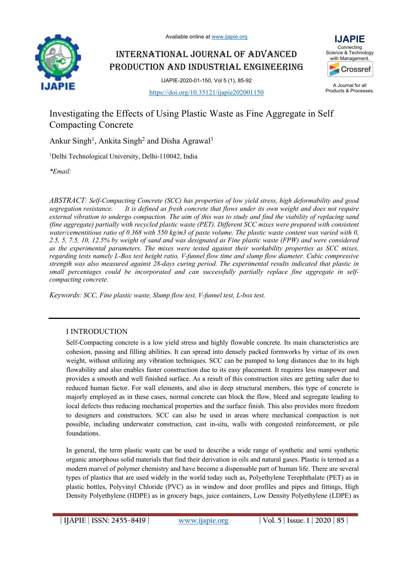

## INTERNATIONAL JOURNAL OF ADVANCED PRODUCTION AND INDUSTRIAL ENGINEERING





A Journal for all Products & Processes.

# Investigating the Effects of Using Plastic Waste as Fine Aggregate in Self Compacting Concrete

Ankur Singh<sup>1</sup>, Ankita Singh<sup>2</sup> and Disha Agrawal<sup>3</sup>

<sup>1</sup>Delhi Technological University, Delhi-110042, India

*\*Email:* 

*ABSTRACT: Self-Compacting Concrete (SCC) has properties of low yield stress, high deformability and good segregation resistance. It is defined as fresh concrete that flows under its own weight and does not require external vibration to undergo compaction. The aim of this was to study and find the viability of replacing sand (fine aggregate) partially with recycled plastic waste (PET). Different SCC mixes were prepared with consistent water/cementitious ratio of 0.368 with 550 kg/m3 of paste volume. The plastic waste content was varied with 0, 2.5, 5, 7.5, 10, 12.5% by weight of sand and was designated as Fine plastic waste (FPW) and were considered as the experimental parameters. The mixes were tested against their workability properties as SCC mixes, regarding tests namely L-Box test height ratio, V-funnel flow time and slump flow diameter. Cubic compressive strength was also measured against 28-days curing period. The experimental results indicated that plastic in small percentages could be incorporated and can successfully partially replace fine aggregate in selfcompacting concrete.*

*Keywords: SCC, Fine plastic waste, Slump flow test, V-funnel test, L-box test.*

## I INTRODUCTION

Self-Compacting concrete is a low yield stress and highly flowable concrete. Its main characteristics are cohesion, passing and filling abilities. It can spread into densely packed formworks by virtue of its own weight, without utilizing any vibration techniques. SCC can be pumped to long distances due to its high flowability and also enables faster construction due to its easy placement. It requires less manpower and provides a smooth and well finished surface. As a result of this construction sites are getting safer due to reduced human factor. For wall elements, and also in deep structural members, this type of concrete is majorly employed as in these cases, normal concrete can block the flow, bleed and segregate leading to local defects thus reducing mechanical properties and the surface finish. This also provides more freedom to designers and constructors. SCC can also be used in areas where mechanical compaction is not possible, including underwater construction, cast in-situ, walls with congested reinforcement, or pile foundations.

In general, the term plastic waste can be used to describe a wide range of synthetic and semi synthetic organic amorphous solid materials that find their derivation in oils and natural gases. Plastic is termed as a modern marvel of polymer chemistry and have become a dispensable part of human life. There are several types of plastics that are used widely in the world today such as, Polyethylene Terephthalate (PET) as in plastic bottles, Polyvinyl Chloride (PVC) as in window and door profiles and pipes and fittings, High Density Polyethylene (HDPE) as in grocery bags, juice containers, Low Density Polyethylene (LDPE) as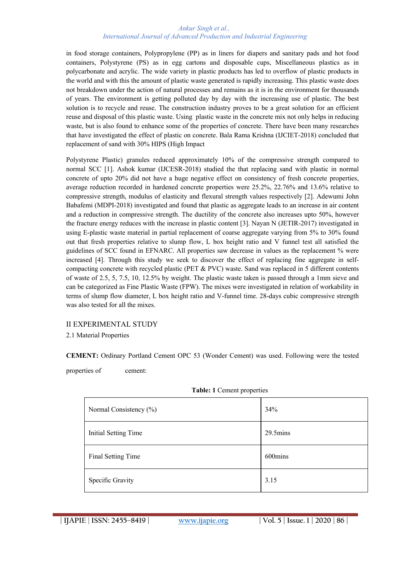#### *Ankur Singh et al., International Journal of Advanced Production and Industrial Engineering*

in food storage containers, Polypropylene (PP) as in liners for diapers and sanitary pads and hot food containers, Polystyrene (PS) as in egg cartons and disposable cups, Miscellaneous plastics as in polycarbonate and acrylic. The wide variety in plastic products has led to overflow of plastic products in the world and with this the amount of plastic waste generated is rapidly increasing. This plastic waste does not breakdown under the action of natural processes and remains as it is in the environment for thousands of years. The environment is getting polluted day by day with the increasing use of plastic. The best solution is to recycle and reuse. The construction industry proves to be a great solution for an efficient reuse and disposal of this plastic waste. Using plastic waste in the concrete mix not only helps in reducing waste, but is also found to enhance some of the properties of concrete. There have been many researches that have investigated the effect of plastic on concrete. Bala Rama Krishna (IJCIET-2018) concluded that replacement of sand with 30% HIPS (High Impact

Polystyrene Plastic) granules reduced approximately 10% of the compressive strength compared to normal SCC [1]. Ashok kumar (IJCESR-2018) studied the that replacing sand with plastic in normal concrete of upto 20% did not have a huge negative effect on consistency of fresh concrete properties, average reduction recorded in hardened concrete properties were 25.2%, 22.76% and 13.6% relative to compressive strength, modulus of elasticity and flexural strength values respectively [2]. Adewumi John Babafemi (MDPI-2018) investigated and found that plastic as aggregate leads to an increase in air content and a reduction in compressive strength. The ductility of the concrete also increases upto 50%, however the fracture energy reduces with the increase in plastic content [3]. Nayan N (JETIR-2017) investigated in using E-plastic waste material in partial replacement of coarse aggregate varying from 5% to 30% found out that fresh properties relative to slump flow, L box height ratio and V funnel test all satisfied the guidelines of SCC found in EFNARC. All properties saw decrease in values as the replacement % were increased [4]. Through this study we seek to discover the effect of replacing fine aggregate in selfcompacting concrete with recycled plastic (PET & PVC) waste. Sand was replaced in 5 different contents of waste of 2.5, 5, 7.5, 10, 12.5% by weight. The plastic waste taken is passed through a 1mm sieve and can be categorized as Fine Plastic Waste (FPW). The mixes were investigated in relation of workability in terms of slump flow diameter, L box height ratio and V-funnel time. 28-days cubic compressive strength was also tested for all the mixes.

## II EXPERIMENTAL STUDY

2.1 Material Properties

**CEMENT:** Ordinary Portland Cement OPC 53 (Wonder Cement) was used. Following were the tested

properties of cement:

| Normal Consistency $(\%)$ | 34%                |
|---------------------------|--------------------|
| Initial Setting Time      | $29.5 \text{mins}$ |
| Final Setting Time        | 600mins            |
| Specific Gravity          | 3.15               |

#### **Table: 1** Cement properties

**| IJAPIE** | **ISSN: 2455–8419 | www.ijapie.org | Vol. 5 | Issue. 1 | 2020 | 86 |**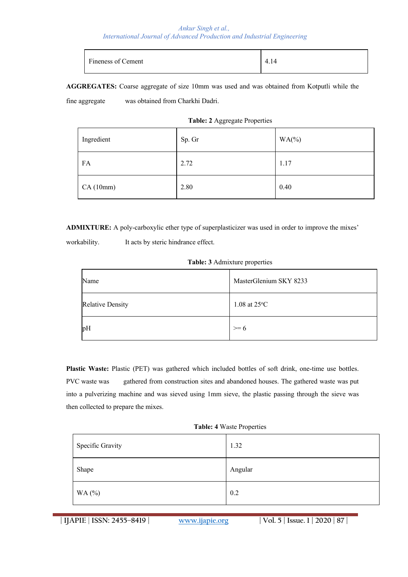#### *Ankur Singh et al., International Journal of Advanced Production and Industrial Engineering*

| Fineness of Cement | 4.14 |
|--------------------|------|
|                    |      |

**AGGREGATES:** Coarse aggregate of size 10mm was used and was obtained from Kotputli while the

fine aggregate was obtained from Charkhi Dadri.

#### **Table: 2** Aggregate Properties

| Ingredient | Sp. Gr | $WA$ (%) |
|------------|--------|----------|
| FA         | 2.72   | 1.17     |
| CA(10mm)   | 2.80   | 0.40     |

**ADMIXTURE:** A poly-carboxylic ether type of superplasticizer was used in order to improve the mixes'

workability. It acts by steric hindrance effect.

|  |  |  | Table: 3 Admixture properties |  |  |
|--|--|--|-------------------------------|--|--|
|--|--|--|-------------------------------|--|--|

| Name                    | MasterGlenium SKY 8233 |
|-------------------------|------------------------|
| <b>Relative Density</b> | 1.08 at $25^{\circ}$ C |
| pH                      | $\geq 6$               |

Plastic Waste: Plastic (PET) was gathered which included bottles of soft drink, one-time use bottles. PVC waste was gathered from construction sites and abandoned houses. The gathered waste was put into a pulverizing machine and was sieved using 1mm sieve, the plastic passing through the sieve was then collected to prepare the mixes.

| Specific Gravity | 1.32    |
|------------------|---------|
| Shape            | Angular |
| WA (%)           | 0.2     |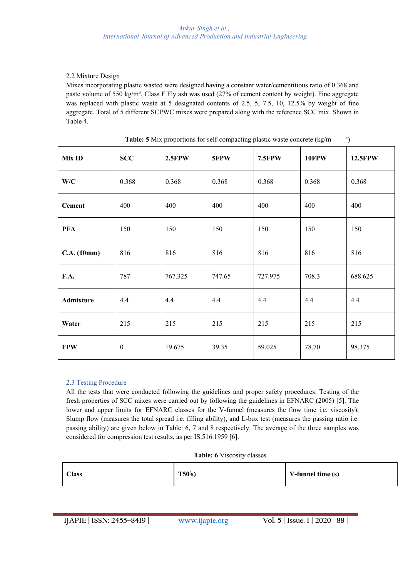## 2.2 Mixture Design

Mixes incorporating plastic wasted were designed having a constant water/cementitious ratio of 0.368 and paste volume of 550 kg/m<sup>3</sup>, Class F Fly ash was used (27% of cement content by weight). Fine aggregate was replaced with plastic waste at 5 designated contents of 2.5, 5, 7.5, 10, 12.5% by weight of fine aggregate. Total of 5 different SCPWC mixes were prepared along with the reference SCC mix. Shown in Table 4.

| Mix ID           | SCC              | 2.5FPW  | 5FPW   | 7.5FPW  | 10FPW | 12.5FPW |
|------------------|------------------|---------|--------|---------|-------|---------|
| W/C              | 0.368            | 0.368   | 0.368  | 0.368   | 0.368 | 0.368   |
| <b>Cement</b>    | 400              | 400     | 400    | 400     | 400   | 400     |
| <b>PFA</b>       | 150              | 150     | 150    | 150     | 150   | 150     |
| C.A. (10mm)      | 816              | 816     | 816    | 816     | 816   | 816     |
| F.A.             | 787              | 767.325 | 747.65 | 727.975 | 708.3 | 688.625 |
| <b>Admixture</b> | 4.4              | 4.4     | 4.4    | 4.4     | 4.4   | 4.4     |
| Water            | 215              | 215     | 215    | 215     | 215   | 215     |
| <b>FPW</b>       | $\boldsymbol{0}$ | 19.675  | 39.35  | 59.025  | 78.70 | 98.375  |

**Table: 5** Mix proportions for self-compacting plastic waste concrete (kg/m <sup>3</sup> <sup>3</sup>)

## 2.3 Testing Procedure

All the tests that were conducted following the guidelines and proper safety procedures. Testing of the fresh properties of SCC mixes were carried out by following the guidelines in EFNARC (2005) [5]. The lower and upper limits for EFNARC classes for the V-funnel (measures the flow time i.e. viscosity), Slump flow (measures the total spread i.e. filling ability), and L-box test (measures the passing ratio i.e. passing ability) are given below in Table: 6, 7 and 8 respectively. The average of the three samples was considered for compression test results, as per IS.516.1959 [6].

#### **Table: 6** Viscosity classes

| <b>Class</b> | T50(s) | V-funnel time (s) |
|--------------|--------|-------------------|
|--------------|--------|-------------------|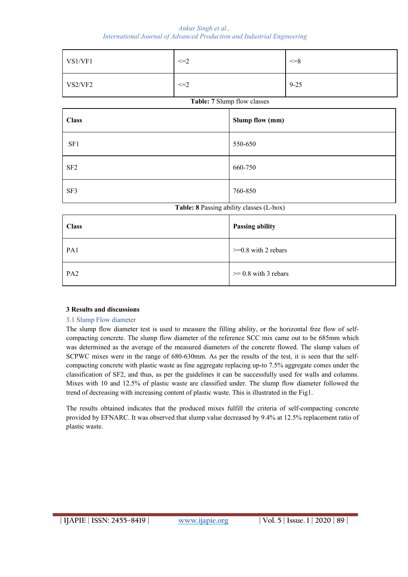*Ankur Singh et al., International Journal of Advanced Production and Industrial Engineering*

| VS1/VF1         | $\leq=2$ |                                          | $\leq=8$ |  |
|-----------------|----------|------------------------------------------|----------|--|
| VS2/VF2         | $\leq=2$ |                                          | $9 - 25$ |  |
|                 |          | Table: 7 Slump flow classes              |          |  |
| <b>Class</b>    |          | Slump flow (mm)                          |          |  |
| SF1             |          | 550-650                                  |          |  |
| SF <sub>2</sub> |          | 660-750                                  |          |  |
| SF3             |          | 760-850                                  |          |  |
|                 |          | Table: 8 Passing ability classes (L-box) |          |  |
| <b>Class</b>    |          | Passing ability                          |          |  |
| PA1             |          | $>=0.8$ with 2 rebars                    |          |  |
| PA <sub>2</sub> |          | $>= 0.8$ with 3 rebars                   |          |  |

## **3 Results and discussions**

## 3.1 Slump Flow diameter

The slump flow diameter test is used to measure the filling ability, or the horizontal free flow of selfcompacting concrete. The slump flow diameter of the reference SCC mix came out to be 685mm which was determined as the average of the measured diameters of the concrete flowed. The slump values of SCPWC mixes were in the range of 680-630mm. As per the results of the test, it is seen that the selfcompacting concrete with plastic waste as fine aggregate replacing up-to 7.5% aggregate comes under the classification of SF2, and thus, as per the guidelines it can be successfully used for walls and columns. Mixes with 10 and 12.5% of plastic waste are classified under. The slump flow diameter followed the trend of decreasing with increasing content of plastic waste. This is illustrated in the Fig1.

The results obtained indicates that the produced mixes fulfill the criteria of self-compacting concrete provided by EFNARC. It was observed that slump value decreased by 9.4% at 12.5% replacement ratio of plastic waste.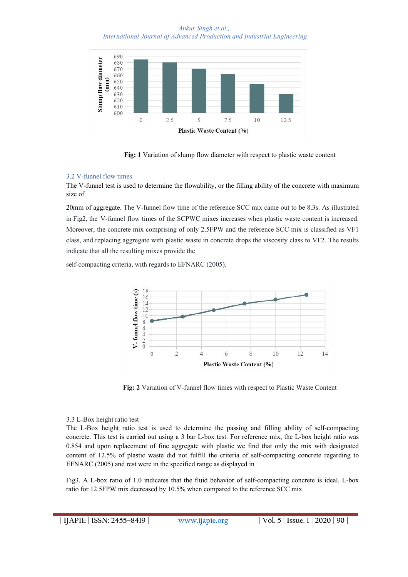*Ankur Singh et al., International Journal of Advanced Production and Industrial Engineering*



**Fig: 1** Variation of slump flow diameter with respect to plastic waste content

#### 3.2 V-funnel flow times

The V-funnel test is used to determine the flowability, or the filling ability of the concrete with maximum size of

20mm of aggregate. The V-funnel flow time of the reference SCC mix came out to be 8.3s. As illustrated in Fig2, the V-funnel flow times of the SCPWC mixes increases when plastic waste content is increased. Moreover, the concrete mix comprising of only 2.5FPW and the reference SCC mix is classified as VF1 class, and replacing aggregate with plastic waste in concrete drops the viscosity class to VF2. The results indicate that all the resulting mixes provide the

self-compacting criteria, with regards to EFNARC (2005).



**Fig: 2** Variation of V-funnel flow times with respect to Plastic Waste Content

#### 3.3 L-Box height ratio test

The L-Box height ratio test is used to determine the passing and filling ability of self-compacting concrete. This test is carried out using a 3 bar L-box test. For reference mix, the L-box height ratio was 0.854 and upon replacement of fine aggregate with plastic we find that only the mix with designated content of 12.5% of plastic waste did not fulfill the criteria of self-compacting concrete regarding to EFNARC (2005) and rest were in the specified range as displayed in

Fig3. A L-box ratio of 1.0 indicates that the fluid behavior of self-compacting concrete is ideal. L-box ratio for 12.5FPW mix decreased by 10.5% when compared to the reference SCC mix.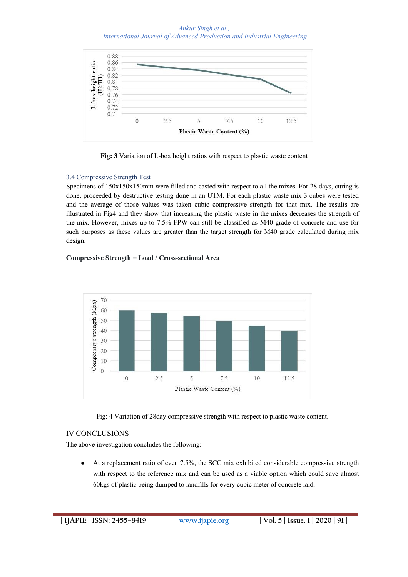*Ankur Singh et al., International Journal of Advanced Production and Industrial Engineering*



**Fig: 3** Variation of L-box height ratios with respect to plastic waste content

## 3.4 Compressive Strength Test

Specimens of 150x150x150mm were filled and casted with respect to all the mixes. For 28 days, curing is done, proceeded by destructive testing done in an UTM. For each plastic waste mix 3 cubes were tested and the average of those values was taken cubic compressive strength for that mix. The results are illustrated in Fig4 and they show that increasing the plastic waste in the mixes decreases the strength of the mix. However, mixes up-to 7.5% FPW can still be classified as M40 grade of concrete and use for such purposes as these values are greater than the target strength for M40 grade calculated during mix design.

## **Compressive Strength = Load / Cross-sectional Area**



Fig: 4 Variation of 28day compressive strength with respect to plastic waste content.

## IV CONCLUSIONS

The above investigation concludes the following:

At a replacement ratio of even 7.5%, the SCC mix exhibited considerable compressive strength with respect to the reference mix and can be used as a viable option which could save almost 60kgs of plastic being dumped to landfills for every cubic meter of concrete laid.